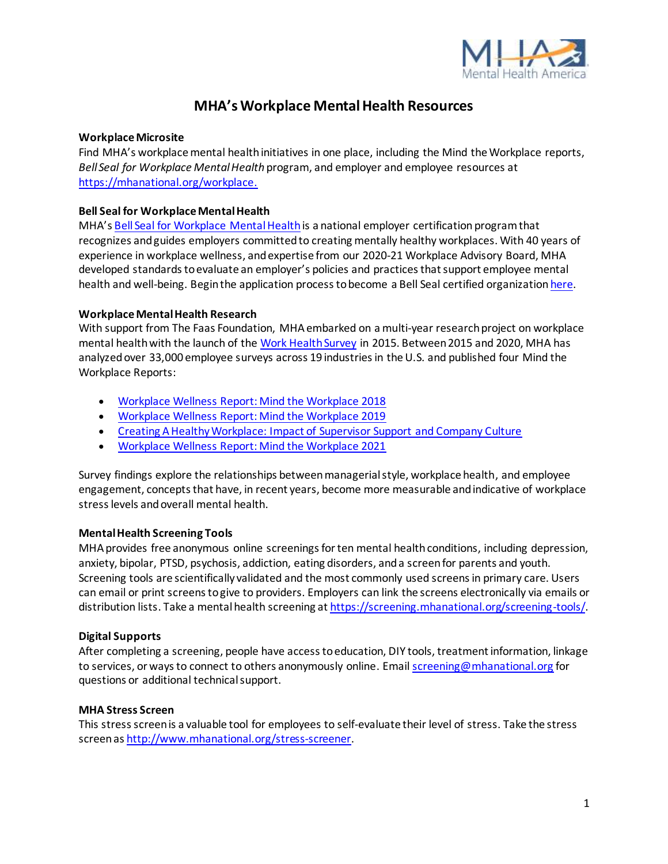

# **MHA's Workplace Mental Health Resources**

# **Workplace Microsite**

Find MHA's workplace mental health initiatives in one place, including the Mind the Workplace reports, *Bell Seal for Workplace Mental Health* program, and employer and employee resources at <https://mhanational.org/workplace>.

#### **Bell Seal for Workplace Mental Health**

MHA's [Bell Seal for Workplace](https://mhanational.org/bestemployers) Mental Health is a national employer certification program that recognizes and guides employers committed to creating mentally healthy workplaces. With 40 years of experience in workplace wellness, and expertise from our 2020-21 Workplace Advisory Board, MHA developed standards to evaluate an employer's policies and practices that support employee mental health and well-being. Begin the application process to become a Bell Seal certified organizatio[n here.](https://www.cognitoforms.com/MentalHealthAmerica1/EmployerInformationFormBellSealForWorkplaceMentalHealth)

#### **Workplace Mental Health Research**

With support from The Faas Foundation, MHA embarked on a multi-year research project on workplace mental health with the launch of the [Work Health Survey](https://screening.mhanational.org/screening-tools/work-health-survey/?ref) in 2015. Between 2015 and 2020, MHA has analyzed over 33,000 employee surveys across 19 industries in the U.S. and published four Mind the Workplace Reports:

- [Workplace Wellness Report: Mind the Workplace 2018](https://mhanational.org/sites/default/files/Mind%20the%20Workplace%20-%20MHA%20Workplace%20Health%20Survey%202017%20FINAL%209.13.pdf)
- [Workplace Wellness Report: Mind the Workplace 2019](https://mhanational.org/get-involved/download-2019-mind-workplace-report)
- [Creating A Healthy Workplace: Impact of Supervisor Support and Company Culture](https://mhanational.org/get-involved/download-2020-creating-healthy-workplace-report)
- [Workplace Wellness Report: Mind the Workplace 2021](https://www.mhanational.org/research-reports/2021-mind-workplace-report)

Survey findings explore the relationships between managerial style, workplace health, and employee engagement, concepts that have, in recent years, become more measurable and indicative of workplace stress levels and overall mental health.

# **Mental Health Screening Tools**

MHA provides free anonymous online screenings for ten mental health conditions, including depression, anxiety, bipolar, PTSD, psychosis, addiction, eating disorders, and a screen for parents and youth. Screening tools are scientifically validated and the most commonly used screens in primary care. Users can email or print screens to give to providers. Employers can link the screens electronically via emails or distribution lists. Take a mental health screening a[t https://screening.mhanational.org/screening-tools/](https://screening.mhanational.org/screening-tools/).

# **Digital Supports**

After completing a screening, people have access to education, DIY tools, treatment information, linkage to services, or ways to connect to others anonymously online. Emai[l screening@mhanational.org](mailto:screening@mhanational.org) for questions or additional technical support.

#### **MHA Stress Screen**

This stress screen is a valuable tool for employees to self-evaluate their level of stress. Take the stress screen a[s http://www.mhanational.org/stress-screener](http://www.mhanational.org/stress-screener).